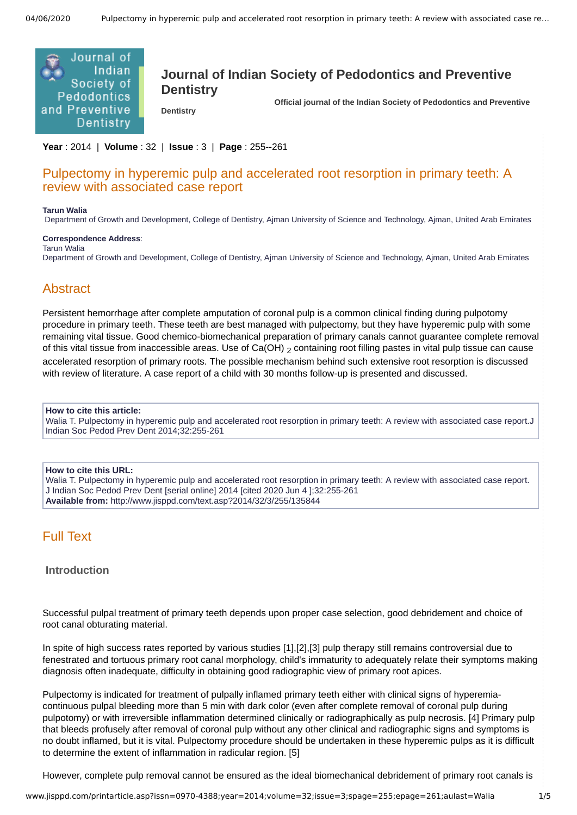

## **Journal of Indian Society of Pedodontics and Preventive Dentistry**

**Dentistry** 

 **Official journal of the Indian Society of Pedodontics and Preventive**

**Year** : 2014 | **Volume** : 32 | **Issue** : 3 | **Page** : 255--261

## Pulpectomy in hyperemic pulp and accelerated root resorption in primary teeth: A review with associated case report

#### **Tarun Walia**

Department of Growth and Development, College of Dentistry, Ajman University of Science and Technology, Ajman, United Arab Emirates

#### **Correspondence Address**: Tarun Walia

Department of Growth and Development, College of Dentistry, Ajman University of Science and Technology, Ajman, United Arab Emirates

## Abstract

Persistent hemorrhage after complete amputation of coronal pulp is a common clinical finding during pulpotomy procedure in primary teeth. These teeth are best managed with pulpectomy, but they have hyperemic pulp with some remaining vital tissue. Good chemico-biomechanical preparation of primary canals cannot guarantee complete removal of this vital tissue from inaccessible areas. Use of Ca(OH)  $_2$  containing root filling pastes in vital pulp tissue can cause accelerated resorption of primary roots. The possible mechanism behind such extensive root resorption is discussed with review of literature. A case report of a child with 30 months follow-up is presented and discussed.

#### **How to cite this article:**

Walia T. Pulpectomy in hyperemic pulp and accelerated root resorption in primary teeth: A review with associated case report.J Indian Soc Pedod Prev Dent 2014;32:255-261

#### **How to cite this URL:**

Walia T. Pulpectomy in hyperemic pulp and accelerated root resorption in primary teeth: A review with associated case report. J Indian Soc Pedod Prev Dent [serial online] 2014 [cited 2020 Jun 4 ];32:255-261 **Available from:** http://www.jisppd.com/text.asp?2014/32/3/255/135844

## Full Text

#### **Introduction**

Successful pulpal treatment of primary teeth depends upon proper case selection, good debridement and choice of root canal obturating material.

In spite of high success rates reported by various studies [1],[2],[3] pulp therapy still remains controversial due to fenestrated and tortuous primary root canal morphology, child's immaturity to adequately relate their symptoms making diagnosis often inadequate, difficulty in obtaining good radiographic view of primary root apices.

Pulpectomy is indicated for treatment of pulpally inflamed primary teeth either with clinical signs of hyperemiacontinuous pulpal bleeding more than 5 min with dark color (even after complete removal of coronal pulp during pulpotomy) or with irreversible inflammation determined clinically or radiographically as pulp necrosis. [4] Primary pulp that bleeds profusely after removal of coronal pulp without any other clinical and radiographic signs and symptoms is no doubt inflamed, but it is vital. Pulpectomy procedure should be undertaken in these hyperemic pulps as it is difficult to determine the extent of inflammation in radicular region. [5]

However, complete pulp removal cannot be ensured as the ideal biomechanical debridement of primary root canals is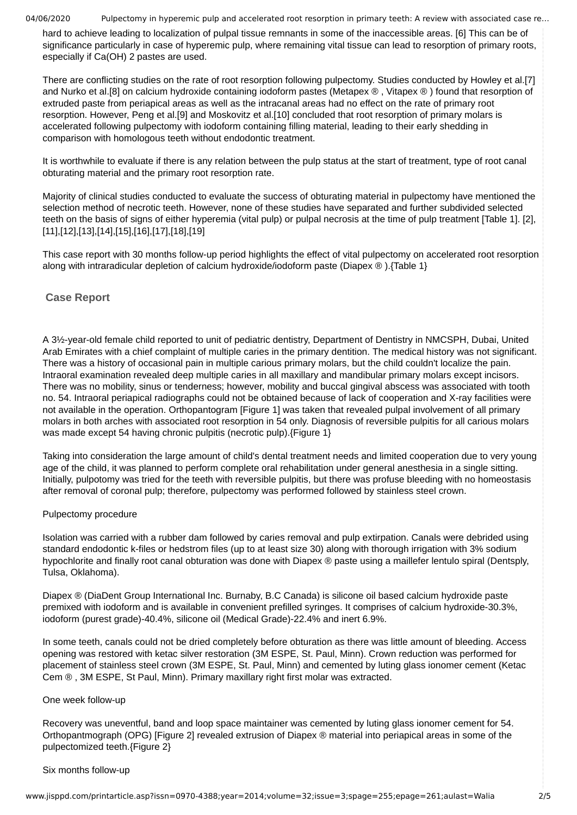04/06/2020 Pulpectomy in hyperemic pulp and accelerated root resorption in primary teeth: A review with associated case re...

hard to achieve leading to localization of pulpal tissue remnants in some of the inaccessible areas. [6] This can be of significance particularly in case of hyperemic pulp, where remaining vital tissue can lead to resorption of primary roots, especially if Ca(OH) 2 pastes are used.

There are conflicting studies on the rate of root resorption following pulpectomy. Studies conducted by Howley et al.[7] and Nurko et al.[8] on calcium hydroxide containing iodoform pastes (Metapex ®, Vitapex ®) found that resorption of extruded paste from periapical areas as well as the intracanal areas had no effect on the rate of primary root resorption. However, Peng et al.[9] and Moskovitz et al.[10] concluded that root resorption of primary molars is accelerated following pulpectomy with iodoform containing filling material, leading to their early shedding in comparison with homologous teeth without endodontic treatment.

It is worthwhile to evaluate if there is any relation between the pulp status at the start of treatment, type of root canal obturating material and the primary root resorption rate.

Majority of clinical studies conducted to evaluate the success of obturating material in pulpectomy have mentioned the selection method of necrotic teeth. However, none of these studies have separated and further subdivided selected teeth on the basis of signs of either hyperemia (vital pulp) or pulpal necrosis at the time of pulp treatment [Table 1]. [2], [11],[12],[13],[14],[15],[16],[17],[18],[19]

This case report with 30 months follow-up period highlights the effect of vital pulpectomy on accelerated root resorption along with intraradicular depletion of calcium hydroxide/iodoform paste (Diapex ® ).{Table 1}

### **Case Report**

A 3½-year-old female child reported to unit of pediatric dentistry, Department of Dentistry in NMCSPH, Dubai, United Arab Emirates with a chief complaint of multiple caries in the primary dentition. The medical history was not significant. There was a history of occasional pain in multiple carious primary molars, but the child couldn't localize the pain. Intraoral examination revealed deep multiple caries in all maxillary and mandibular primary molars except incisors. There was no mobility, sinus or tenderness; however, mobility and buccal gingival abscess was associated with tooth no. 54. Intraoral periapical radiographs could not be obtained because of lack of cooperation and X-ray facilities were not available in the operation. Orthopantogram [Figure 1] was taken that revealed pulpal involvement of all primary molars in both arches with associated root resorption in 54 only. Diagnosis of reversible pulpitis for all carious molars was made except 54 having chronic pulpitis (necrotic pulp).{Figure 1}

Taking into consideration the large amount of child's dental treatment needs and limited cooperation due to very young age of the child, it was planned to perform complete oral rehabilitation under general anesthesia in a single sitting. Initially, pulpotomy was tried for the teeth with reversible pulpitis, but there was profuse bleeding with no homeostasis after removal of coronal pulp; therefore, pulpectomy was performed followed by stainless steel crown.

#### Pulpectomy procedure

Isolation was carried with a rubber dam followed by caries removal and pulp extirpation. Canals were debrided using standard endodontic k-files or hedstrom files (up to at least size 30) along with thorough irrigation with 3% sodium hypochlorite and finally root canal obturation was done with Diapex ® paste using a maillefer lentulo spiral (Dentsply, Tulsa, Oklahoma).

Diapex ® (DiaDent Group International Inc. Burnaby, B.C Canada) is silicone oil based calcium hydroxide paste premixed with iodoform and is available in convenient prefilled syringes. It comprises of calcium hydroxide-30.3%, iodoform (purest grade)-40.4%, silicone oil (Medical Grade)-22.4% and inert 6.9%.

In some teeth, canals could not be dried completely before obturation as there was little amount of bleeding. Access opening was restored with ketac silver restoration (3M ESPE, St. Paul, Minn). Crown reduction was performed for placement of stainless steel crown (3M ESPE, St. Paul, Minn) and cemented by luting glass ionomer cement (Ketac Cem ® , 3M ESPE, St Paul, Minn). Primary maxillary right first molar was extracted.

#### One week follow-up

Recovery was uneventful, band and loop space maintainer was cemented by luting glass ionomer cement for 54. Orthopantmograph (OPG) [Figure 2] revealed extrusion of Diapex ® material into periapical areas in some of the pulpectomized teeth.{Figure 2}

#### Six months follow-up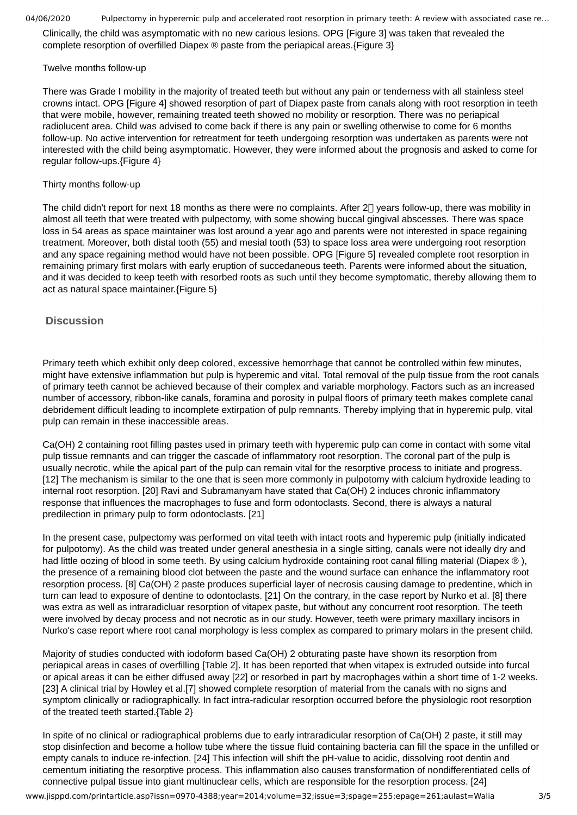04/06/2020 Pulpectomy in hyperemic pulp and accelerated root resorption in primary teeth: A review with associated case re...

Clinically, the child was asymptomatic with no new carious lesions. OPG [Figure 3] was taken that revealed the complete resorption of overfilled Diapex ® paste from the periapical areas.{Figure 3}

### Twelve months follow-up

There was Grade I mobility in the majority of treated teeth but without any pain or tenderness with all stainless steel crowns intact. OPG [Figure 4] showed resorption of part of Diapex paste from canals along with root resorption in teeth that were mobile, however, remaining treated teeth showed no mobility or resorption. There was no periapical radiolucent area. Child was advised to come back if there is any pain or swelling otherwise to come for 6 months follow-up. No active intervention for retreatment for teeth undergoing resorption was undertaken as parents were not interested with the child being asymptomatic. However, they were informed about the prognosis and asked to come for regular follow-ups.{Figure 4}

### Thirty months follow-up

The child didn't report for next 18 months as there were no complaints. After  $2\Box$  years follow-up, there was mobility in almost all teeth that were treated with pulpectomy, with some showing buccal gingival abscesses. There was space loss in 54 areas as space maintainer was lost around a year ago and parents were not interested in space regaining treatment. Moreover, both distal tooth (55) and mesial tooth (53) to space loss area were undergoing root resorption and any space regaining method would have not been possible. OPG [Figure 5] revealed complete root resorption in remaining primary first molars with early eruption of succedaneous teeth. Parents were informed about the situation, and it was decided to keep teeth with resorbed roots as such until they become symptomatic, thereby allowing them to act as natural space maintainer.{Figure 5}

### **Discussion**

Primary teeth which exhibit only deep colored, excessive hemorrhage that cannot be controlled within few minutes, might have extensive inflammation but pulp is hyperemic and vital. Total removal of the pulp tissue from the root canals of primary teeth cannot be achieved because of their complex and variable morphology. Factors such as an increased number of accessory, ribbon-like canals, foramina and porosity in pulpal floors of primary teeth makes complete canal debridement difficult leading to incomplete extirpation of pulp remnants. Thereby implying that in hyperemic pulp, vital pulp can remain in these inaccessible areas.

Ca(OH) 2 containing root filling pastes used in primary teeth with hyperemic pulp can come in contact with some vital pulp tissue remnants and can trigger the cascade of inflammatory root resorption. The coronal part of the pulp is usually necrotic, while the apical part of the pulp can remain vital for the resorptive process to initiate and progress. [12] The mechanism is similar to the one that is seen more commonly in pulpotomy with calcium hydroxide leading to internal root resorption. [20] Ravi and Subramanyam have stated that Ca(OH) 2 induces chronic inflammatory response that influences the macrophages to fuse and form odontoclasts. Second, there is always a natural predilection in primary pulp to form odontoclasts. [21]

In the present case, pulpectomy was performed on vital teeth with intact roots and hyperemic pulp (initially indicated for pulpotomy). As the child was treated under general anesthesia in a single sitting, canals were not ideally dry and had little oozing of blood in some teeth. By using calcium hydroxide containing root canal filling material (Diapex ®), the presence of a remaining blood clot between the paste and the wound surface can enhance the inflammatory root resorption process. [8] Ca(OH) 2 paste produces superficial layer of necrosis causing damage to predentine, which in turn can lead to exposure of dentine to odontoclasts. [21] On the contrary, in the case report by Nurko et al. [8] there was extra as well as intraradicluar resorption of vitapex paste, but without any concurrent root resorption. The teeth were involved by decay process and not necrotic as in our study. However, teeth were primary maxillary incisors in Nurko's case report where root canal morphology is less complex as compared to primary molars in the present child.

Majority of studies conducted with iodoform based Ca(OH) 2 obturating paste have shown its resorption from periapical areas in cases of overfilling [Table 2]. It has been reported that when vitapex is extruded outside into furcal or apical areas it can be either diffused away [22] or resorbed in part by macrophages within a short time of 1-2 weeks. [23] A clinical trial by Howley et al.[7] showed complete resorption of material from the canals with no signs and symptom clinically or radiographically. In fact intra-radicular resorption occurred before the physiologic root resorption of the treated teeth started.{Table 2}

In spite of no clinical or radiographical problems due to early intraradicular resorption of Ca(OH) 2 paste, it still may stop disinfection and become a hollow tube where the tissue fluid containing bacteria can fill the space in the unfilled or empty canals to induce re-infection. [24] This infection will shift the pH-value to acidic, dissolving root dentin and cementum initiating the resorptive process. This inflammation also causes transformation of nondifferentiated cells of connective pulpal tissue into giant multinuclear cells, which are responsible for the resorption process. [24]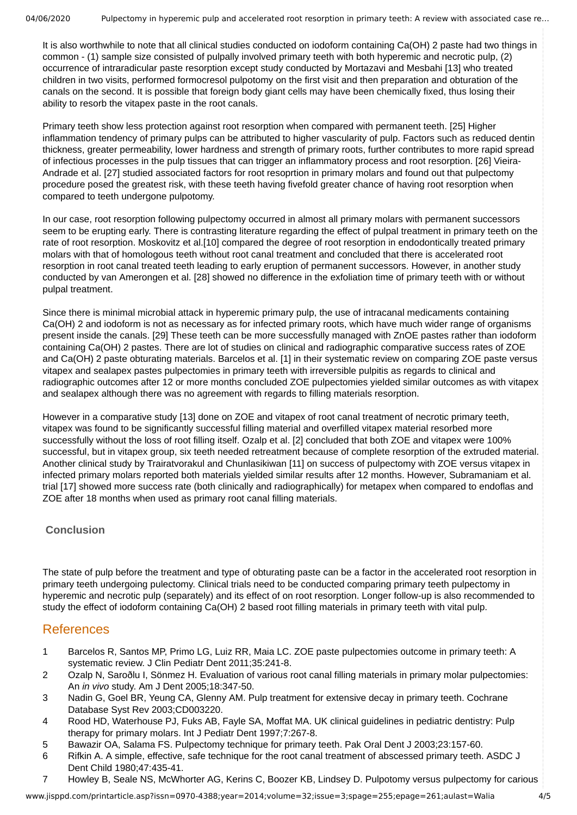It is also worthwhile to note that all clinical studies conducted on iodoform containing Ca(OH) 2 paste had two things in common - (1) sample size consisted of pulpally involved primary teeth with both hyperemic and necrotic pulp, (2) occurrence of intraradicular paste resorption except study conducted by Mortazavi and Mesbahi [13] who treated children in two visits, performed formocresol pulpotomy on the first visit and then preparation and obturation of the canals on the second. It is possible that foreign body giant cells may have been chemically fixed, thus losing their ability to resorb the vitapex paste in the root canals.

Primary teeth show less protection against root resorption when compared with permanent teeth. [25] Higher inflammation tendency of primary pulps can be attributed to higher vascularity of pulp. Factors such as reduced dentin thickness, greater permeability, lower hardness and strength of primary roots, further contributes to more rapid spread of infectious processes in the pulp tissues that can trigger an inflammatory process and root resorption. [26] Vieira-Andrade et al. [27] studied associated factors for root resoprtion in primary molars and found out that pulpectomy procedure posed the greatest risk, with these teeth having fivefold greater chance of having root resorption when compared to teeth undergone pulpotomy.

In our case, root resorption following pulpectomy occurred in almost all primary molars with permanent successors seem to be erupting early. There is contrasting literature regarding the effect of pulpal treatment in primary teeth on the rate of root resorption. Moskovitz et al.[10] compared the degree of root resorption in endodontically treated primary molars with that of homologous teeth without root canal treatment and concluded that there is accelerated root resorption in root canal treated teeth leading to early eruption of permanent successors. However, in another study conducted by van Amerongen et al. [28] showed no difference in the exfoliation time of primary teeth with or without pulpal treatment.

Since there is minimal microbial attack in hyperemic primary pulp, the use of intracanal medicaments containing Ca(OH) 2 and iodoform is not as necessary as for infected primary roots, which have much wider range of organisms present inside the canals. [29] These teeth can be more successfully managed with ZnOE pastes rather than iodoform containing Ca(OH) 2 pastes. There are lot of studies on clinical and radiographic comparative success rates of ZOE and Ca(OH) 2 paste obturating materials. Barcelos et al. [1] in their systematic review on comparing ZOE paste versus vitapex and sealapex pastes pulpectomies in primary teeth with irreversible pulpitis as regards to clinical and radiographic outcomes after 12 or more months concluded ZOE pulpectomies yielded similar outcomes as with vitapex and sealapex although there was no agreement with regards to filling materials resorption.

However in a comparative study [13] done on ZOE and vitapex of root canal treatment of necrotic primary teeth, vitapex was found to be significantly successful filling material and overfilled vitapex material resorbed more successfully without the loss of root filling itself. Ozalp et al. [2] concluded that both ZOE and vitapex were 100% successful, but in vitapex group, six teeth needed retreatment because of complete resorption of the extruded material. Another clinical study by Trairatvorakul and Chunlasikiwan [11] on success of pulpectomy with ZOE versus vitapex in infected primary molars reported both materials yielded similar results after 12 months. However, Subramaniam et al. trial [17] showed more success rate (both clinically and radiographically) for metapex when compared to endoflas and ZOE after 18 months when used as primary root canal filling materials.

## **Conclusion**

The state of pulp before the treatment and type of obturating paste can be a factor in the accelerated root resorption in primary teeth undergoing pulectomy. Clinical trials need to be conducted comparing primary teeth pulpectomy in hyperemic and necrotic pulp (separately) and its effect of on root resorption. Longer follow-up is also recommended to study the effect of iodoform containing Ca(OH) 2 based root filling materials in primary teeth with vital pulp.

# References

- 1 Barcelos R, Santos MP, Primo LG, Luiz RR, Maia LC. ZOE paste pulpectomies outcome in primary teeth: A systematic review. J Clin Pediatr Dent 2011;35:241-8.
- 2 Ozalp N, Saroðlu I, Sönmez H. Evaluation of various root canal filling materials in primary molar pulpectomies: An *in vivo* study. Am J Dent 2005;18:347-50.
- 3 Nadin G, Goel BR, Yeung CA, Glenny AM. Pulp treatment for extensive decay in primary teeth. Cochrane Database Syst Rev 2003;CD003220.
- 4 Rood HD, Waterhouse PJ, Fuks AB, Fayle SA, Moffat MA. UK clinical guidelines in pediatric dentistry: Pulp therapy for primary molars. Int J Pediatr Dent 1997;7:267-8.
- 5 Bawazir OA, Salama FS. Pulpectomy technique for primary teeth. Pak Oral Dent J 2003;23:157-60.
- 6 Rifkin A. A simple, effective, safe technique for the root canal treatment of abscessed primary teeth. ASDC J Dent Child 1980;47:435-41.
- 7 Howley B, Seale NS, McWhorter AG, Kerins C, Boozer KB, Lindsey D. Pulpotomy versus pulpectomy for carious

www.jisppd.com/printarticle.asp?issn=0970-4388;year=2014;volume=32;issue=3;spage=255;epage=261;aulast=Walia 4/5